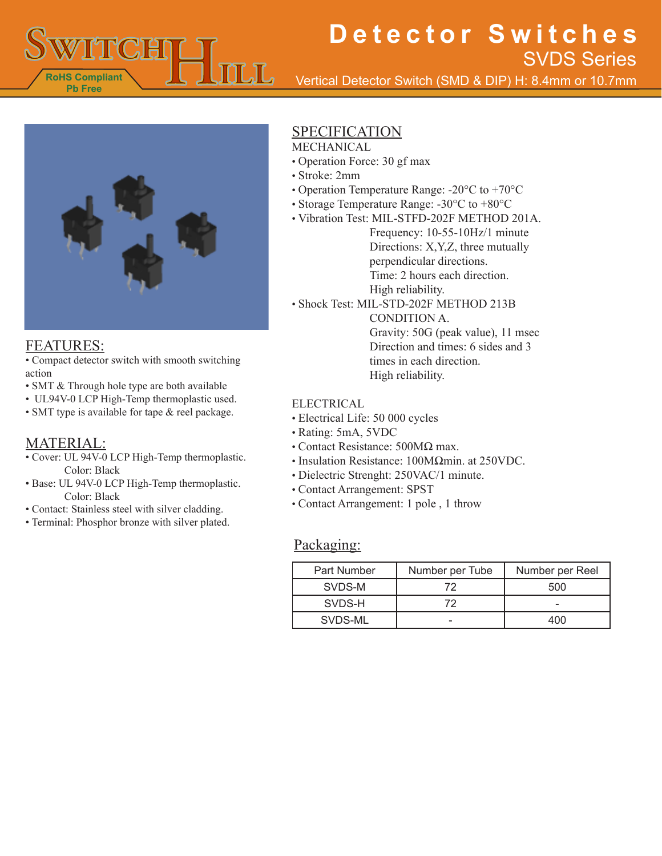

Vertical Detector Switch (SMD & DIP) H: 8.4mm or 10.7mm



### FEATURES:

• Compact detector switch with smooth switching action

- SMT & Through hole type are both available
- UL94V-0 LCP High-Temp thermoplastic used. • SMT type is available for tape & reel package.
- MATERIAL:

#### • Cover: UL 94V-0 LCP High-Temp thermoplastic. Color: Black

- Base: UL 94V-0 LCP High-Temp thermoplastic. Color: Black
- Contact: Stainless steel with silver cladding.
- Terminal: Phosphor bronze with silver plated.

## SPECIFICATION

MECHANICAL

- Operation Force: 30 gf max
- Stroke: 2mm
- Operation Temperature Range: -20°C to +70°C
- Storage Temperature Range: -30°C to +80°C
- Vibration Test: MIL-STFD-202F METHOD 201A.

Frequency: 10-55-10Hz/1 minute Directions: X,Y,Z, three mutually perpendicular directions. Time: 2 hours each direction. High reliability.

• Shock Test: MIL-STD-202F METHOD 213B

CONDITION A. Gravity: 50G (peak value), 11 msec Direction and times: 6 sides and 3 times in each direction. High reliability.

#### ELECTRICAL

- Electrical Life: 50 000 cycles
- Rating: 5mA, 5VDC
- Contact Resistance: 500MΩ max.
- Insulation Resistance: 100MΩmin. at 250VDC.
- Dielectric Strenght: 250VAC/1 minute.
- Contact Arrangement: SPST
- Contact Arrangement: 1 pole , 1 throw

#### Packaging:

| <b>Part Number</b> | Number per Tube | Number per Reel |
|--------------------|-----------------|-----------------|
| SVDS-M             | 79              | 500             |
| SVDS-H             | 79              |                 |
| SVDS-ML            |                 | 100             |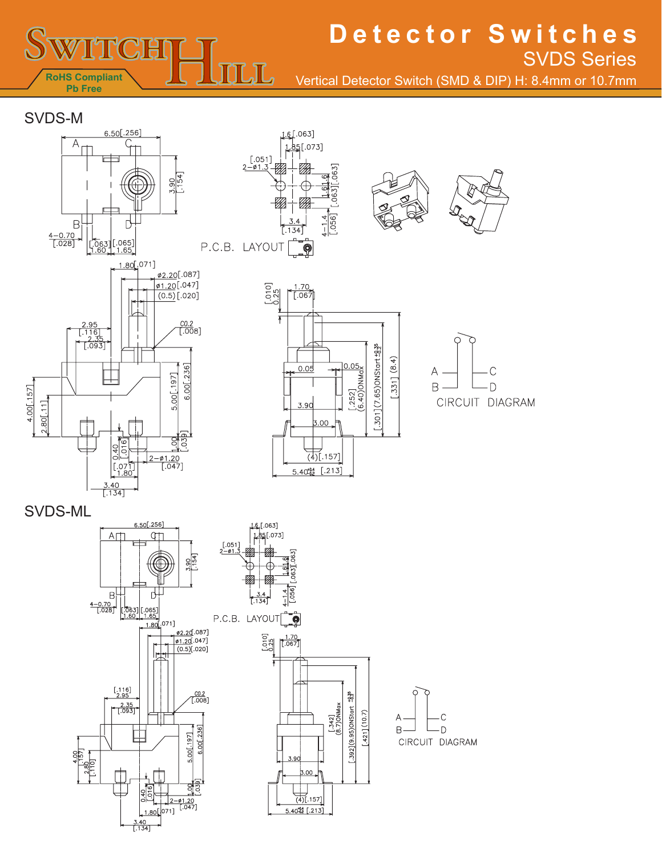

Vertical Detector Switch (SMD & DIP) H: 8.4mm or 10.7mm

### SVDS-M





 $\frac{1.70}{[.067]}$ 

 $0.05$ 

 $3.9C$ 

 $0<sub>0</sub>$ 

 $(4)$ [.157]

 $5.40^{10.4}_{0.2}$   $(.213)$ 

 $010$ ]<br> $-25$ 

Ŧ



 $[-301](7.65)$ ONStart  $\pm 8.35$  $-.331]$   $(8.4)$ 

 $[.252]$ <br>  $(6.40)$ ONMax



CIRCUIT DIAGRAM

SVDS-ML

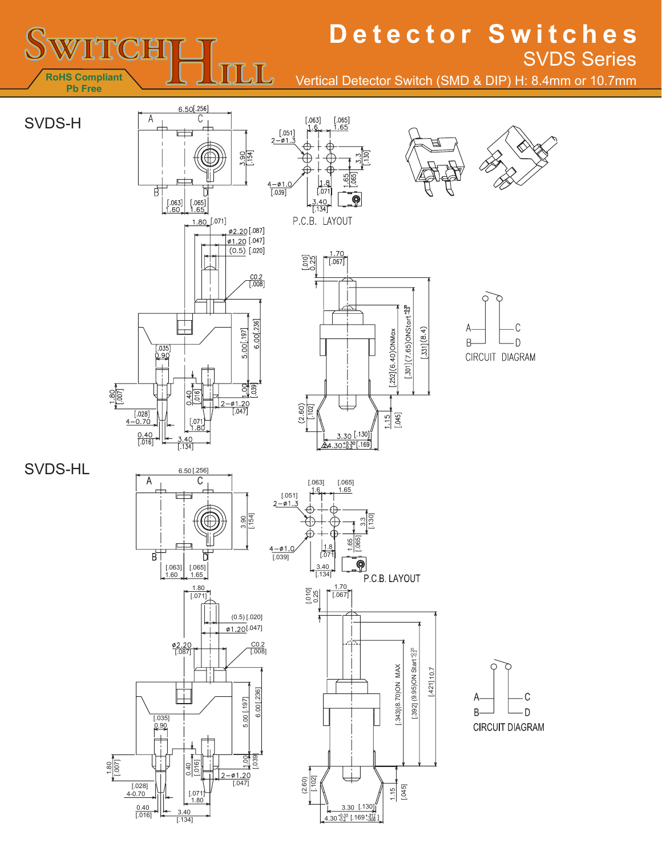

Vertical Detector Switch (SMD & DIP) H: 8.4mm or 10.7mm







SVDS-HL







C

D